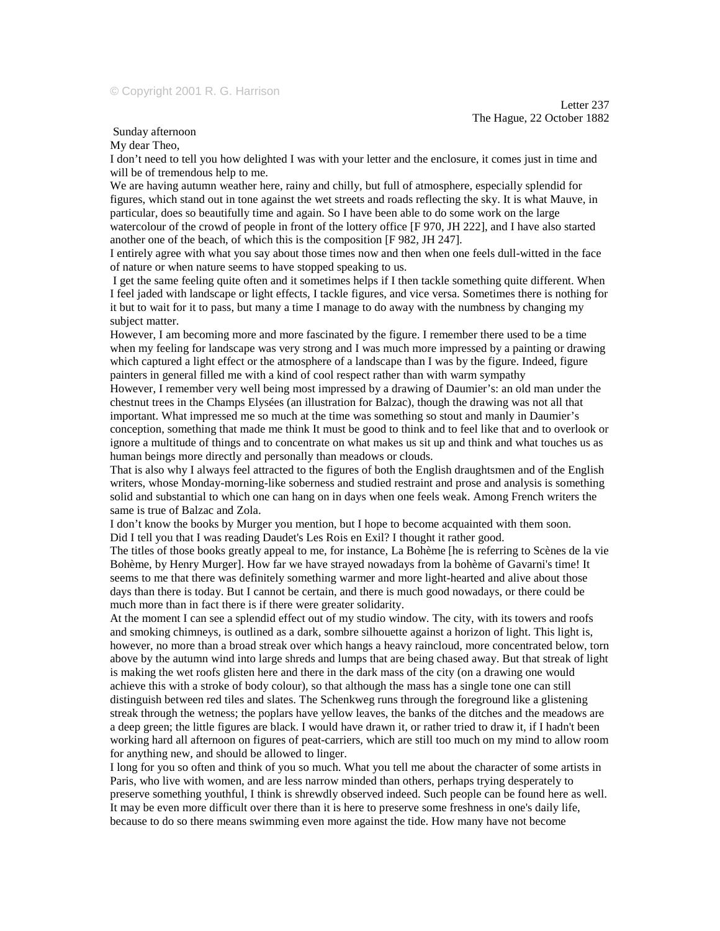## Sunday afternoon

My dear Theo,

I don't need to tell you how delighted I was with your letter and the enclosure, it comes just in time and will be of tremendous help to me.

We are having autumn weather here, rainy and chilly, but full of atmosphere, especially splendid for figures, which stand out in tone against the wet streets and roads reflecting the sky. It is what Mauve, in particular, does so beautifully time and again. So I have been able to do some work on the large watercolour of the crowd of people in front of the lottery office [F 970, JH 222], and I have also started another one of the beach, of which this is the composition [F 982, JH 247].

I entirely agree with what you say about those times now and then when one feels dull-witted in the face of nature or when nature seems to have stopped speaking to us.

 I get the same feeling quite often and it sometimes helps if I then tackle something quite different. When I feel jaded with landscape or light effects, I tackle figures, and vice versa. Sometimes there is nothing for it but to wait for it to pass, but many a time I manage to do away with the numbness by changing my subject matter.

However, I am becoming more and more fascinated by the figure. I remember there used to be a time when my feeling for landscape was very strong and I was much more impressed by a painting or drawing which captured a light effect or the atmosphere of a landscape than I was by the figure. Indeed, figure painters in general filled me with a kind of cool respect rather than with warm sympathy

However, I remember very well being most impressed by a drawing of Daumier's: an old man under the chestnut trees in the Champs Elysées (an illustration for Balzac), though the drawing was not all that important. What impressed me so much at the time was something so stout and manly in Daumier's conception, something that made me think It must be good to think and to feel like that and to overlook or ignore a multitude of things and to concentrate on what makes us sit up and think and what touches us as human beings more directly and personally than meadows or clouds.

That is also why I always feel attracted to the figures of both the English draughtsmen and of the English writers, whose Monday-morning-like soberness and studied restraint and prose and analysis is something solid and substantial to which one can hang on in days when one feels weak. Among French writers the same is true of Balzac and Zola.

I don't know the books by Murger you mention, but I hope to become acquainted with them soon. Did I tell you that I was reading Daudet's Les Rois en Exil? I thought it rather good.

The titles of those books greatly appeal to me, for instance, La Bohème [he is referring to Scènes de la vie Bohème, by Henry Murger]. How far we have strayed nowadays from la bohème of Gavarni's time! It seems to me that there was definitely something warmer and more light-hearted and alive about those days than there is today. But I cannot be certain, and there is much good nowadays, or there could be much more than in fact there is if there were greater solidarity.

At the moment I can see a splendid effect out of my studio window. The city, with its towers and roofs and smoking chimneys, is outlined as a dark, sombre silhouette against a horizon of light. This light is, however, no more than a broad streak over which hangs a heavy raincloud, more concentrated below, torn above by the autumn wind into large shreds and lumps that are being chased away. But that streak of light is making the wet roofs glisten here and there in the dark mass of the city (on a drawing one would achieve this with a stroke of body colour), so that although the mass has a single tone one can still distinguish between red tiles and slates. The Schenkweg runs through the foreground like a glistening streak through the wetness; the poplars have yellow leaves, the banks of the ditches and the meadows are a deep green; the little figures are black. I would have drawn it, or rather tried to draw it, if I hadn't been working hard all afternoon on figures of peat-carriers, which are still too much on my mind to allow room for anything new, and should be allowed to linger.

I long for you so often and think of you so much. What you tell me about the character of some artists in Paris, who live with women, and are less narrow minded than others, perhaps trying desperately to preserve something youthful, I think is shrewdly observed indeed. Such people can be found here as well. It may be even more difficult over there than it is here to preserve some freshness in one's daily life, because to do so there means swimming even more against the tide. How many have not become